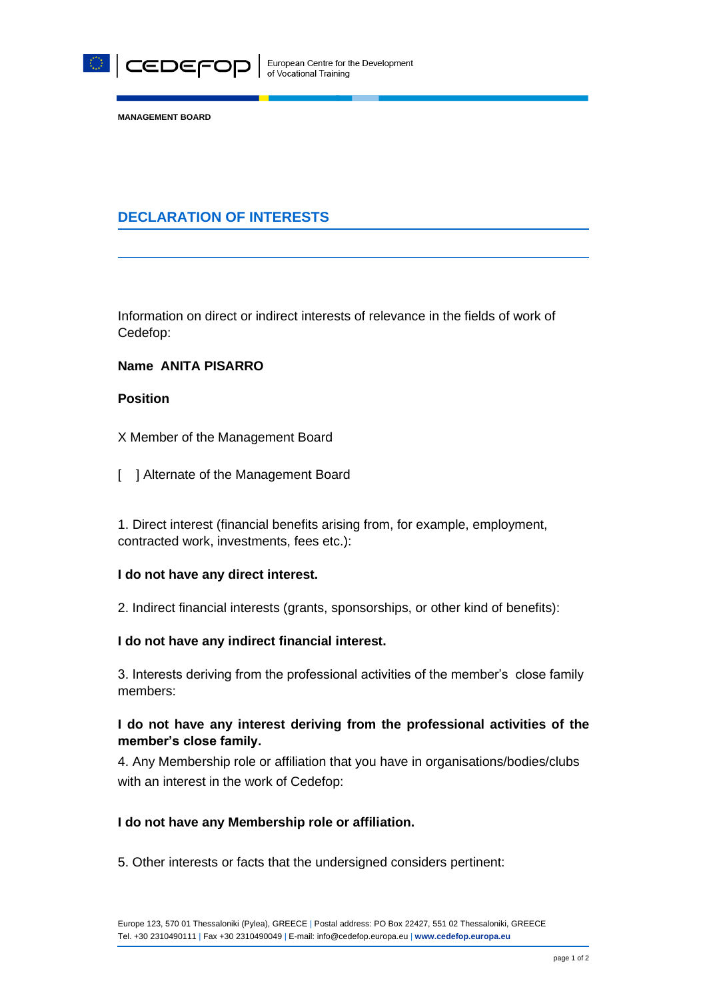

**MANAGEMENT BOARD**

# **DECLARATION OF INTERESTS**

Information on direct or indirect interests of relevance in the fields of work of Cedefop:

## **Name ANITA PISARRO**

## **Position**

X Member of the Management Board

[ ] Alternate of the Management Board

1. Direct interest (financial benefits arising from, for example, employment, contracted work, investments, fees etc.):

#### **I do not have any direct interest.**

2. Indirect financial interests (grants, sponsorships, or other kind of benefits):

#### **I do not have any indirect financial interest.**

3. Interests deriving from the professional activities of the member's close family members:

# **I do not have any interest deriving from the professional activities of the member's close family.**

4. Any Membership role or affiliation that you have in organisations/bodies/clubs with an interest in the work of Cedefop:

#### **I do not have any Membership role or affiliation.**

5. Other interests or facts that the undersigned considers pertinent: